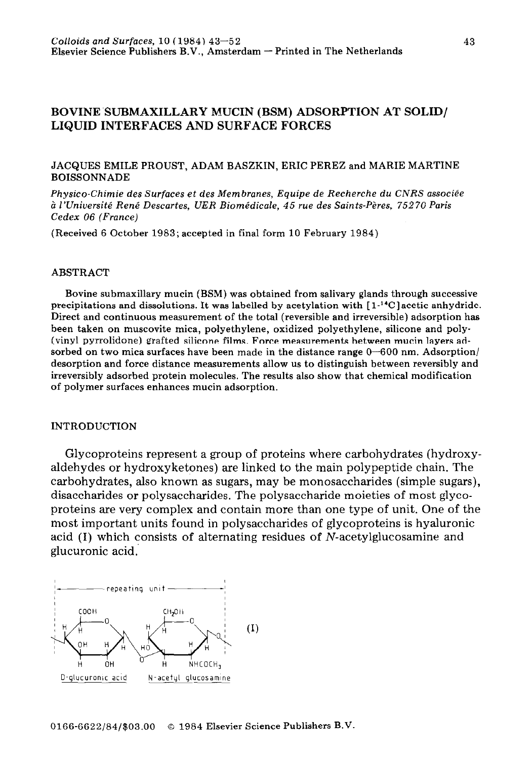# BOVINE SUBMAXILLARY MUCIN (BSM) ADSORPTION AT SOLID/ LIQUID INTERFACES AND SURFACE FORCES

#### JACQUES EMILE PROUST, ADAM BASZKIN, ERIC PEREZ and MARIE MARTINE BOISSONNADE

*Physico-Chimie des Surfaces et des Membranes, Equipe de Recherche du CNRS associle d l'lJniversit& Renf Descartes, UER Biomkdicale, 45 rue des Saints-P&es, 75270 Paris Cedex 06 (France)* 

(Received 6 October 1983; accepted in final form 10 February 1984)

#### ABSTRACT

Bovine submaxillary mucin (BSM) was obtained from salivary glands through successive precipitations and dissolutions. It was labelled by acetylation with  $[1^{-14}C]$  acetic anhydride. Direct and continuous measurement of the total (reversible and irreversible) adsorption has been taken on muscovite mica, polyethylene, oxidized polyethylene, silicone and poly- (vinyl pyrrolidone) grafted silicone films. Force measurements between mucin layers adsorbed on two mica surfaces have been made in the distance range  $0-600$  nm. Adsorption/ desorption and force distance measurements allow us to distinguish between reversibly and irreversibly adsorbed protein molecules. The results also show that chemical modification of polymer surfaces enhances mucin adsorption.

#### INTRODUCTION

Glycoproteins represent a group of proteins where carbohydrates (hydroxyaldehydes or hydroxyketones) are linked to the main polypeptide chain. The carbohydrates, also known as sugars, may be monosaccharides (simple sugars), disaccharides or polysaccharides. The polysaccharide moieties of most glycoproteins are very complex and contain more than one type of unit. One of the most important units found in polysaccharides of glycoproteins is hyaluron acid (I) which consists of alternating residues of N-acetylglucosamine and glucuronic acid.'

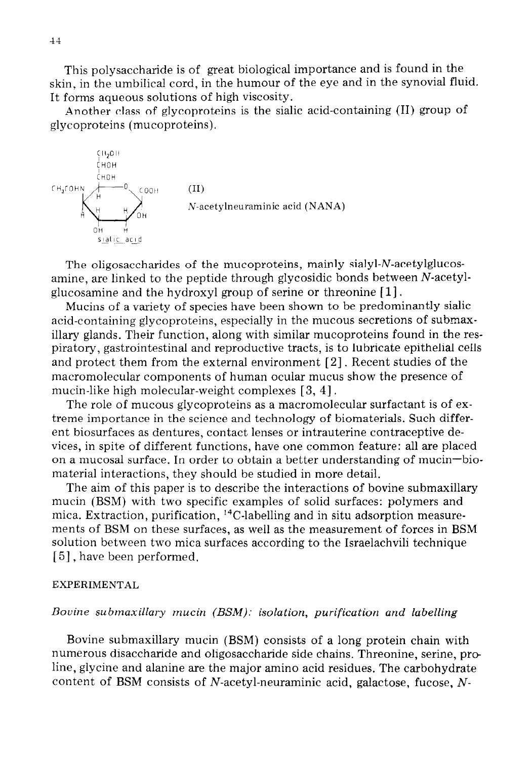This polysaccharide is of great biological importance and is found in the skin, in the umbilical cord, in the humour of the eye and in the synovial fluid. It forms aqueous solutions of high viscosity.

Another class of glycoproteins is the sialic acid-containing (II) group of glycoproteins (mucoproteins).



The oligosaccharides of the mucoproteins, mainly sialyl-N-acetylglucosamine, are linked to the peptide through glycosidic bonds between N-acetylglucosamine and the hydroxyl group of serine or threonine  $[1]$ .

Mucins of a variety of species have been shown to be predominantly siahc acid-containing glycoproteins, especially in the mucous secretions of submaxillary glands. Their function, along with similar mucoproteins found in the respiratory, gastrointestinal and reproductive tracts, is to lubricate epithelial cells and protect them from the external environment [2]. Recent studies of the macromolecular components of human ocular mucus show the presence of mucin-like high molecular-weight complexes [ 3, 41.

The role of mucous glycoproteins as a macromolecular surfactant is of extreme importance in the science and technology of biomaterials. Such different biosurfaces as dentures, contact lenses or intrauterine contraceptive devices, in spite of different functions, have one common feature: all are placed on a mucosal surface. In order to obtain a better understanding of mucin-biomaterial interactions, they should be studied in more detail.

The aim of this paper is to describe the interactions of bovine submaxillary mucin (BSM) with two specific examples of solid surfaces: polymers and mica. Extraction, purification,  $^{14}$ C-labelling and in situ adsorption measurements of BSM on these surfaces, as well as the measurement of forces in BSM solution between two mica surfaces according to the Israelachvili technique [5], have been performed.

## EXPERIMENTAL

## *Bovine submaxillary mucin (BSM): isolation, purification and labelling*

Bovine submaxillary mucin (BSM) consists of a long protein chain with numerous disaccharide and oligosaccharide side chains. Threonine, serine, pro line, glycine and alanine are the major amino acid residues. The carbohydrate content of BSM consists of N-acetyl-neuraminic acid, galactose, fucose,  $N$ -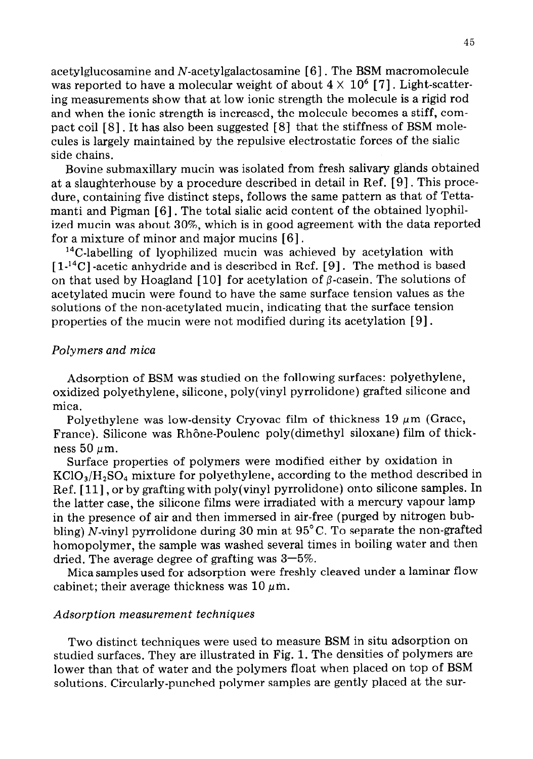acetylglucosamine and N-acetylgalactosamine [ 61. The BSM macromolecule was reported to have a molecular weight of about  $4 \times 10^6$  [7]. Light-scattering measurements show that at low ionic strength the molecule is a rigid rod and when the ionic strength is increased, the molecule becomes a stiff, compact coil [ 81. It has also been suggested [ 81 that the stiffness of BSM molecules is largely maintained by the repulsive electrostatic forces of the sialic side chains.

Bovine submaxillary mucin was isolated from fresh salivary glands obtained at a slaughterhouse by a procedure described in detail in Ref. [9]. This procedure, containing five distinct steps, follows the same pattern as that of Tettamanti and Pigman [6] . The total sialic acid content of the obtained lyophilized mucin was about 30%, which is in good agreement with the data reported for a mixture of minor and major mucins [6].

<sup>14</sup>C-labelling of lyophilized mucin was achieved by acetylation with  $[1<sup>14</sup>C]$  -acetic anhydride and is described in Ref. [9]. The method is based on that used by Hoagland [10] for acetylation of  $\beta$ -casein. The solutions of acetylated mucin were found to have the same surface tension values as the solutions of the non-acetylated mucin, indicating that the surface tension properties of the mucin were not modified during its acetylation [9].

## *Polymers and mica*

Adsorption of BSM was studied on the following surfaces: polyethylene, oxidized polyethylene, silicone, poly(viny1 pyrrolidone) grafted silicone and mica.

Polyethylene was low-density Cryovac film of thickness 19  $\mu$ m (Grace, France). Silicone was Rhône-Poulenc poly(dimethyl siloxane) film of thickness 50  $\mu$ m.

Surface properties of polymers were modified either by oxidation in  $KClO<sub>3</sub>/H<sub>2</sub>SO<sub>4</sub>$  mixture for polyethylene, according to the method described in Ref. [11], or by grafting with poly(vinyl pyrrolidone) onto silicone samples. In the latter case, the silicone films were irradiated with a mercury vapour lamp in the presence of air and then immersed in air-free (purged by nitrogen bubbling) N-vinyl pyrrolidone during 30 min at  $95^{\circ}$ C. To separate the non-grafted homopolymer, the sample was washed several times in boiling water and then dried. The average degree of grafting was  $3-5\%$ .

Mica samples used for adsorption were freshly cleaved under a laminar flow cabinet; their average thickness was  $10 \mu m$ .

### *Adsorption measurement techniques*

Two distinct techniques were used to measure BSM in situ adsorption on studied surfaces. They are illustrated in Fig. 1. The densities of polymers are lower than that of water and the polymers float when placed on top of BSM solutions. Circularly-punched polymer samples are gently placed at the sur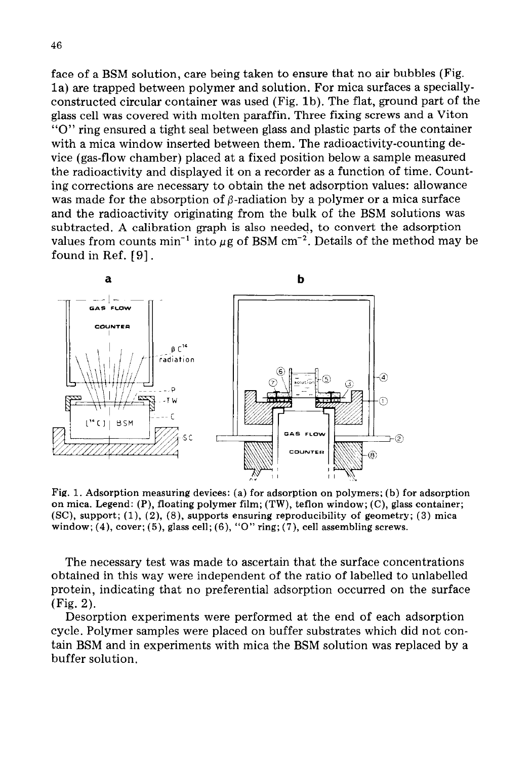face of a BSM solution, care being taken to ensure that no air bubbles (Fig. la) are trapped between polymer and solution. For mica surfaces a speciallyconstructed circular container was used (Fig. lb). The flat, ground part of the glass cell was covered with molten paraffin. Three fixing screws and a Viton "0" ring ensured a tight seal between glass and plastic parts of the container with a mica window inserted between them. The radioactivity-counting device (gas-flow chamber) placed at a fixed position below a sample measured the radioactivity and displayed it on a recorder as a function of time. Counting corrections are necessary to obtain the net adsorption values: allowance was made for the absorption of  $\beta$ -radiation by a polymer or a mica surface and the radioactivity originating from the bulk of the BSM solutions was subtracted. A calibration graph is also needed, to convert the adsorption values from counts min<sup>-1</sup> into  $\mu$ g of BSM cm<sup>-2</sup>. Details of the method may be found in Ref. [9].



Fig. 1. **Adsorption measuring devices: (a) for adsorption on polymers; (b) for adsorption on mica. Legend: (P), floating polymer film; (TW), teflon window; (C), glass container; (SC), support; (l), (2), (8), supports ensuring reproducibility of geometry; (3) mica window; (4), cover; (5), glass cell; (6), "0" ring; (7), cell assembling screws.** 

The necessary test was made to ascertain that the surface concentrations obtained in this way were independent of the ratio of labelled to unlabelled protein, indicating that no preferential adsorption occurred on the surface (Fig. 2).

Desorption experiments were performed at the end of each adsorption cycle. Polymer samples were placed on buffer substrates which did not contain BSM and in experiments with mica the BSM solution was replaced by a buffer solution.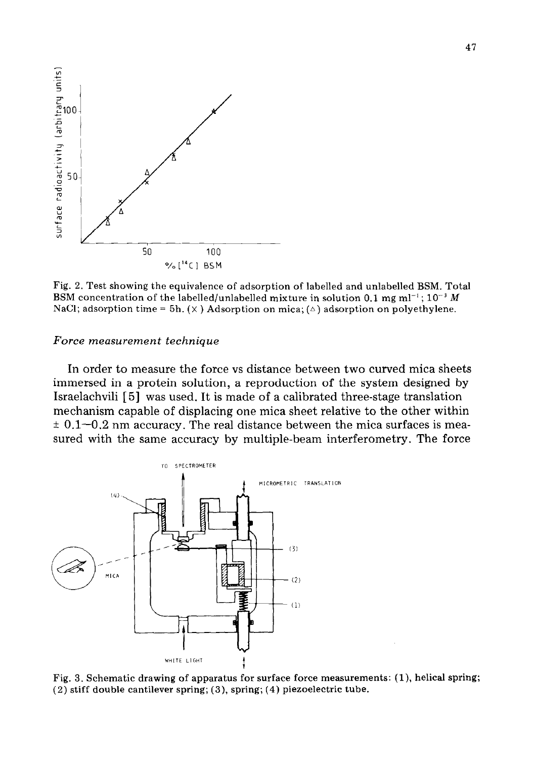

Fig. 2. Test showing the equivalence of adsorption of labelled and unlabelled BSM. Total BSM concentration of the labelled/unlabelled mixture in solution 0.1 mg ml<sup>-1</sup>;  $10^{-3}$  M NaCl; adsorption time = 5h.  $(X)$  Adsorption on mica;  $(\triangle)$  adsorption on polyethylene.

#### *Force measurement technique*

In order to measure the force vs distance between two curved mica sheets immersed in a protein solution, a reproduction of the system designed by Israelachvili [ 51 was used. It is made of a calibrated three-stage translation mechanism capable of displacing one mica sheet relative to the other within  $\pm$  0.1–0.2 nm accuracy. The real distance between the mica surfaces is measured with the same accuracy by multiple-beam interferometry. The force



Fig. 3. Schematic drawing of apparatus for surface force measurements:  $(1)$ , helical spring; (2) stiff double cantilever spring; (3), spring; (4) piezoelectric tube.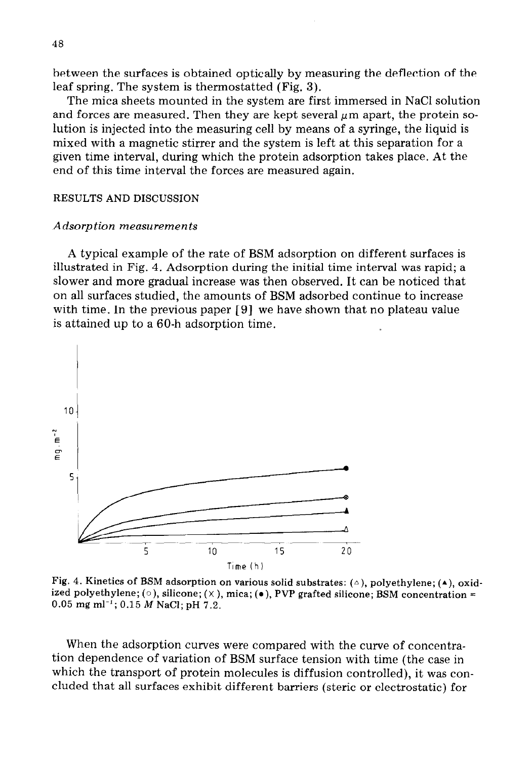between the surfaces is obtained optically by measuring the deflection of the leaf spring. The system is thermostatted (Fig. 3).

The mica sheets mounted in the system are first immersed in NaCl solution and forces are measured. Then they are kept several  $\mu$ m apart, the protein solution is injected into the measuring cell by means of a syringe, the liquid is mixed with a magnetic stirrer and the system is left at this separation for a given time interval, during which the protein adsorption takes place. At the end of this time interval the forces are measured again.

#### **RESULTS AND DISCUSSION**

#### *Adsorption measurements*

A typical example of the rate of BSM adsorption on different surfaces is illustrated in Fig. 4. Adsorption during the initial time interval was rapid; a slower and more gradual increase was then observed. It can be noticed that on all surfaces studied, the amounts of BSM adsorbed continue to increase with time. In the previous paper [9] we have shown that no plateau value is attained up to a 60-h adsorption time.



Fig. 4. Kinetics of BSM adsorption on various solid substrates: ( $\triangle$ ), polyethylene; (**A**), oxid**ized polyethylene; (0 ), silicone; (X ), mica; (o ), PVP grafted silicone; BSM concentration = 0.05 mg ml-'; 0.15 M NaCl; pH 7.2.** 

When the adsorption curves were compared with the curve of concentration dependence of variation of BSM surface tension with time (the case in which the transport of protein molecules is diffusion controlled), it was concluded that all surfaces exhibit different barriers (steric or electrostatic) for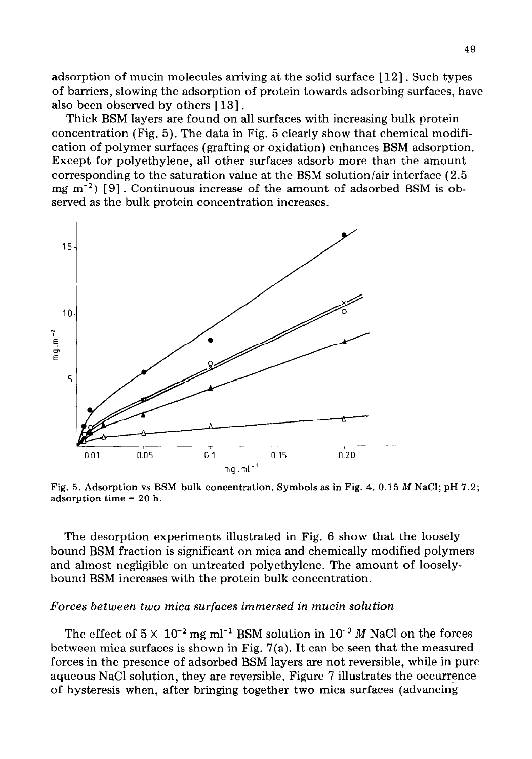adsorption of mucin molecules arriving at the solid surface [12]. Such types of barriers, slowing the adsorption of protein towards adsorbing surfaces, have also been observed by others [13].

Thick BSM layers are found on all surfaces with increasing bulk protein concentration (Fig. 5). The data in Fig. 5 clearly show that chemical modification of polymer surfaces (grafting or oxidation) enhances BSM adsorption. Except for polyethylene, all other surfaces adsorb more than the amount corresponding to the saturation value at the BSM solution/air interface (2.5 mg  $m^{-2}$ ) [9]. Continuous increase of the amount of adsorbed BSM is observed as the bulk protein concentration increases.



**Fig. 5. Adsorption vs BSM bulk concentration. Symbols as in Fig. 4. 0.15 M NaCl; pH 7.2; adsorption time = 20 h.** 

The desorption experiments illustrated in Fig. 6 show that the loosely bound BSM fraction is significant on mica and chemically modified polymers and almost negligible on untreated polyethylene. The amount of looselybound BSM increases with the protein bulk concentration.

### *Forces between two mica surfaces immersed in mucin solution*

The effect of  $5 \times 10^{-2}$  mg ml<sup>-1</sup> BSM solution in  $10^{-3}$  *M* NaCl on the forces between mica surfaces is shown in Fig.  $7(a)$ . It can be seen that the measured forces in the presence of adsorbed BSM layers are not reversible, while in pure aqueous NaCl solution, they are reversible. Figure 7 illustrates the occurrence of hysteresis when, after bringing together two mica surfaces (advancing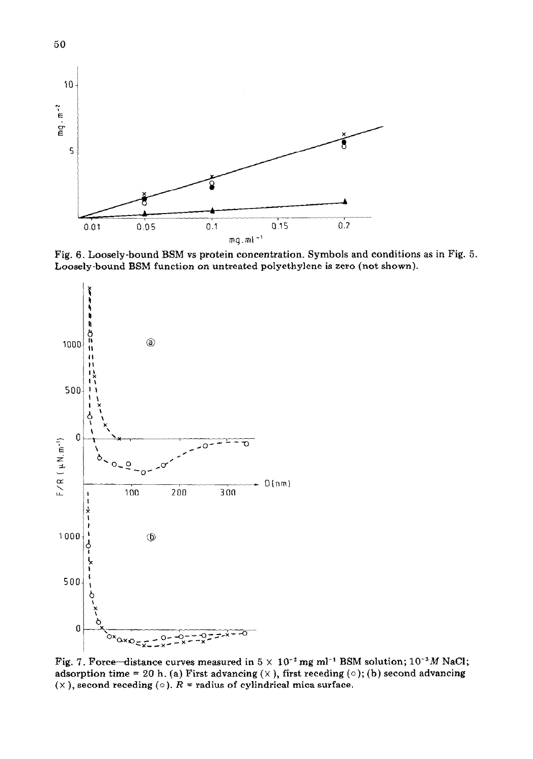

Fig. 6. Loosely-bound BSM vs protein concentration. Symbols and conditions as in Fig. 5. Loosely-bound BSM function on untreated polyethylene is zero (not shown).



Fig. 7. Force-distance curves measured in  $5 \times 10^{-2}$  mg ml<sup>-1</sup> BSM solution;  $10^{-3}M$  NaCl; adsorption time = 20 h. (a) First advancing  $(X)$ , first receding  $(0)$ ; (b) second advancing  $(\times)$ , second receding  $(\circ)$ .  $R =$  radius of cylindrical mica surface.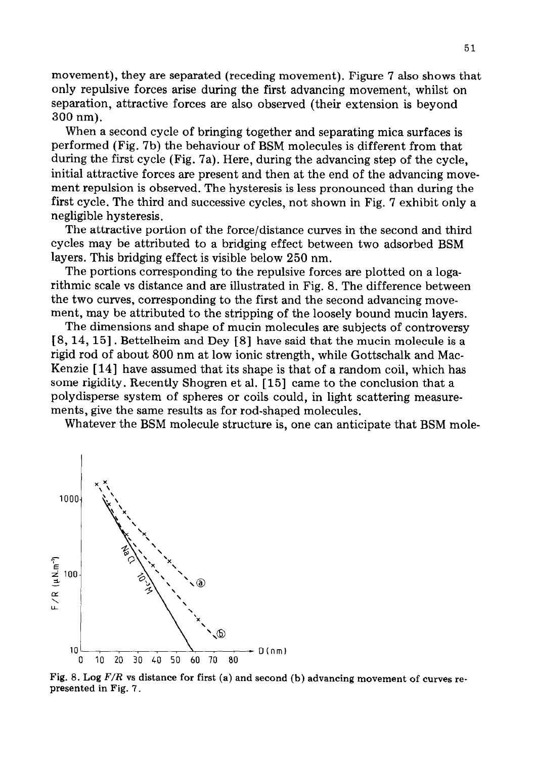movement), they are separated (receding movement). Figure 7 also shows that only repulsive forces arise during the first advancing movement, whilst on separation, attractive forces are also observed (their extension is beyond 300 nm).

When a second cycle of bringing together and separating mica surfaces is performed (Fig. 7b) the behaviour of BSM molecules is different from that during the first cycle (Fig. 7a). Here, during the advancing step of the cycle, initial attractive forces are present and then at the end of the advancing movement repulsion is observed. The hysteresis is less pronounced than during the first cycle. The third and successive cycles, not shown in Fig. 7 exhibit only a negligible hysteresis.

The attractive portion of the force/distance curves in the second and third cycles may be attributed to a bridging effect between two adsorbed BSM layers. This bridging effect is visible below 250 nm.

The portions corresponding to the repulsive forces are plotted on a logarithmic scale vs distance and are illustrated in Fig. 8. The difference between the two curves, corresponding to the first and the second advancing movement, may be attributed to the stripping of the loosely bound mucin layers.

The dimensions and shape of mucin molecules are subjects of controversy [ 8,14,15] . Bettelheim and Dey [ 81 have said that the mucin molecule is a rigid rod of about 800 nm at low ionic strength, while Gottschalk and Mac-Kenzie [ 141 have assumed that its shape is that of a random coil, which has some rigidity. Recently Shogren et al. [15] came to the conclusion that a polydisperse system of spheres or coils could, in light scattering measurements, give the same results as for rod-shaped molecules.

Whatever the BSM molecule structure is, one can anticipate that BSM mole-



**Fig. 8. Log** *F/R vs* distance **for first (a) and second (b) advancing movement of curves represented in Fig. 7** \_